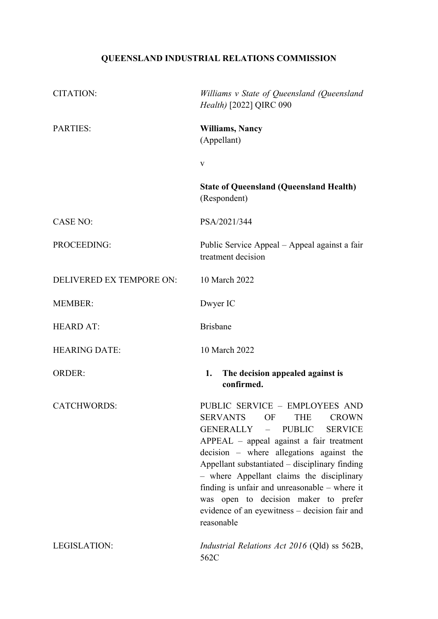# **QUEENSLAND INDUSTRIAL RELATIONS COMMISSION**

| <b>CITATION:</b>         | Williams v State of Queensland (Queensland<br>Health) [2022] QIRC 090                                                                                                                                                                                                                                                                                                                                                                                      |
|--------------------------|------------------------------------------------------------------------------------------------------------------------------------------------------------------------------------------------------------------------------------------------------------------------------------------------------------------------------------------------------------------------------------------------------------------------------------------------------------|
| <b>PARTIES:</b>          | <b>Williams, Nancy</b><br>(Appellant)                                                                                                                                                                                                                                                                                                                                                                                                                      |
|                          | V                                                                                                                                                                                                                                                                                                                                                                                                                                                          |
|                          | <b>State of Queensland (Queensland Health)</b><br>(Respondent)                                                                                                                                                                                                                                                                                                                                                                                             |
| <b>CASE NO:</b>          | PSA/2021/344                                                                                                                                                                                                                                                                                                                                                                                                                                               |
| PROCEEDING:              | Public Service Appeal - Appeal against a fair<br>treatment decision                                                                                                                                                                                                                                                                                                                                                                                        |
| DELIVERED EX TEMPORE ON: | 10 March 2022                                                                                                                                                                                                                                                                                                                                                                                                                                              |
| <b>MEMBER:</b>           | Dwyer IC                                                                                                                                                                                                                                                                                                                                                                                                                                                   |
| <b>HEARD AT:</b>         | <b>Brisbane</b>                                                                                                                                                                                                                                                                                                                                                                                                                                            |
| <b>HEARING DATE:</b>     | 10 March 2022                                                                                                                                                                                                                                                                                                                                                                                                                                              |
| <b>ORDER:</b>            | 1.<br>The decision appealed against is<br>confirmed.                                                                                                                                                                                                                                                                                                                                                                                                       |
| <b>CATCHWORDS:</b>       | PUBLIC SERVICE - EMPLOYEES AND<br>SERVANTS OF THE CROWN<br><b>PUBLIC</b><br>GENERALLY –<br><b>SERVICE</b><br>APPEAL – appeal against a fair treatment<br>decision – where allegations against the<br>Appellant substantiated - disciplinary finding<br>- where Appellant claims the disciplinary<br>finding is unfair and unreasonable $-$ where it<br>was open to decision maker to prefer<br>evidence of an eyewitness - decision fair and<br>reasonable |
| <b>LEGISLATION:</b>      | Industrial Relations Act 2016 (Qld) ss 562B,<br>562C                                                                                                                                                                                                                                                                                                                                                                                                       |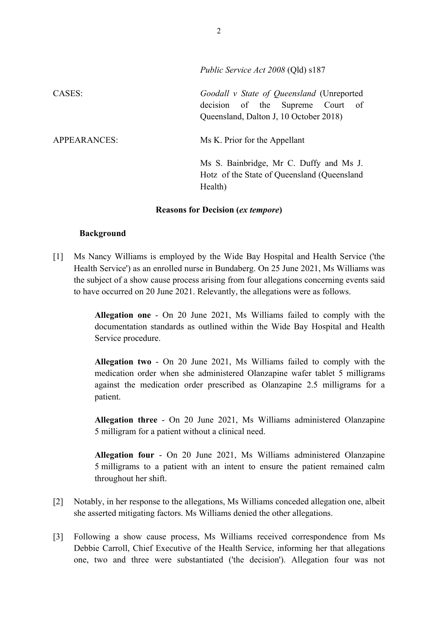|              | Public Service Act 2008 (QIQ) \$18/                                                                                        |
|--------------|----------------------------------------------------------------------------------------------------------------------------|
| CASES:       | Goodall v State of Queensland (Unreported<br>decision of the Supreme Court<br>of<br>Queensland, Dalton J, 10 October 2018) |
| APPEARANCES: | Ms K. Prior for the Appellant                                                                                              |
|              | Ms S. Bainbridge, Mr C. Duffy and Ms J.<br>Hotz of the State of Queensland (Queensland<br>Health)                          |

#### **Reasons for Decision (***ex tempore***)**

#### **Background**

[1] Ms Nancy Williams is employed by the Wide Bay Hospital and Health Service ('the Health Service') as an enrolled nurse in Bundaberg. On 25 June 2021, Ms Williams was the subject of a show cause process arising from four allegations concerning events said to have occurred on 20 June 2021. Relevantly, the allegations were as follows.

> **Allegation one** - On 20 June 2021, Ms Williams failed to comply with the documentation standards as outlined within the Wide Bay Hospital and Health Service procedure.

> **Allegation two** - On 20 June 2021, Ms Williams failed to comply with the medication order when she administered Olanzapine wafer tablet 5 milligrams against the medication order prescribed as Olanzapine 2.5 milligrams for a patient.

> **Allegation three** - On 20 June 2021, Ms Williams administered Olanzapine 5 milligram for a patient without a clinical need.

> **Allegation four** - On 20 June 2021, Ms Williams administered Olanzapine 5 milligrams to a patient with an intent to ensure the patient remained calm throughout her shift.

- [2] Notably, in her response to the allegations, Ms Williams conceded allegation one, albeit she asserted mitigating factors. Ms Williams denied the other allegations.
- [3] Following a show cause process, Ms Williams received correspondence from Ms Debbie Carroll, Chief Executive of the Health Service, informing her that allegations one, two and three were substantiated ('the decision'). Allegation four was not

*Public Service Act 2008* (Qld) s187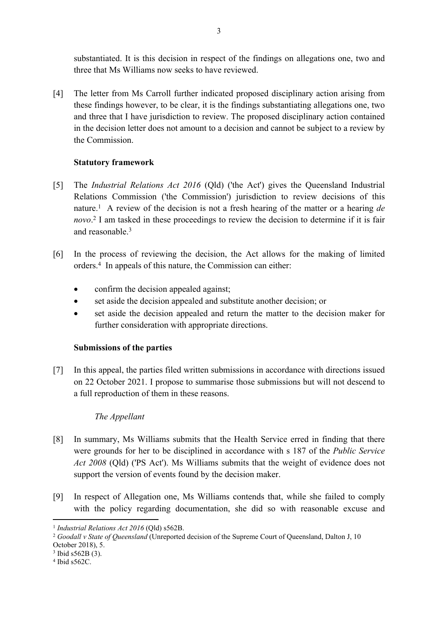substantiated. It is this decision in respect of the findings on allegations one, two and three that Ms Williams now seeks to have reviewed.

[4] The letter from Ms Carroll further indicated proposed disciplinary action arising from these findings however, to be clear, it is the findings substantiating allegations one, two and three that I have jurisdiction to review. The proposed disciplinary action contained in the decision letter does not amount to a decision and cannot be subject to a review by the Commission.

## **Statutory framework**

- [5] The *Industrial Relations Act 2016* (Qld) ('the Act') gives the Queensland Industrial Relations Commission ('the Commission') jurisdiction to review decisions of this nature.<sup>1</sup> A review of the decision is not a fresh hearing of the matter or a hearing *de novo*. 2 I am tasked in these proceedings to review the decision to determine if it is fair and reasonable.<sup>3</sup>
- [6] In the process of reviewing the decision, the Act allows for the making of limited orders.<sup>4</sup> In appeals of this nature, the Commission can either:
	- confirm the decision appealed against;
	- set aside the decision appealed and substitute another decision; or
	- set aside the decision appealed and return the matter to the decision maker for further consideration with appropriate directions.

# **Submissions of the parties**

[7] In this appeal, the parties filed written submissions in accordance with directions issued on 22 October 2021. I propose to summarise those submissions but will not descend to a full reproduction of them in these reasons.

# *The Appellant*

- [8] In summary, Ms Williams submits that the Health Service erred in finding that there were grounds for her to be disciplined in accordance with s 187 of the *Public Service Act 2008* (Qld) ('PS Act'). Ms Williams submits that the weight of evidence does not support the version of events found by the decision maker.
- [9] In respect of Allegation one, Ms Williams contends that, while she failed to comply with the policy regarding documentation, she did so with reasonable excuse and

3 Ibid s562B (3).

<sup>1</sup> *Industrial Relations Act 2016* (Qld) s562B.

<sup>2</sup> *Goodall v State of Queensland* (Unreported decision of the Supreme Court of Queensland, Dalton J, 10 October 2018), 5.

<sup>4</sup> Ibid s562C.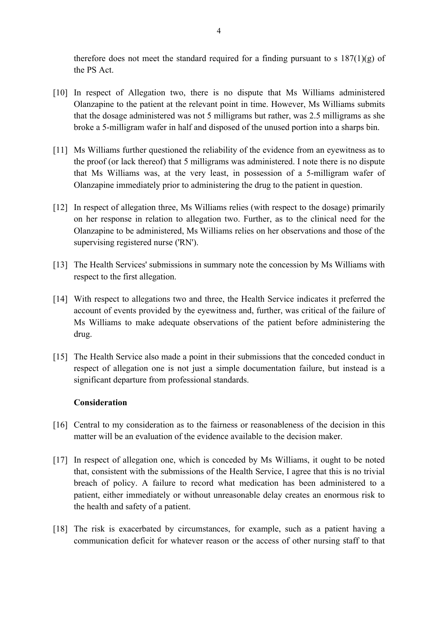therefore does not meet the standard required for a finding pursuant to s  $187(1)(g)$  of the PS Act.

- [10] In respect of Allegation two, there is no dispute that Ms Williams administered Olanzapine to the patient at the relevant point in time. However, Ms Williams submits that the dosage administered was not 5 milligrams but rather, was 2.5 milligrams as she broke a 5-milligram wafer in half and disposed of the unused portion into a sharps bin.
- [11] Ms Williams further questioned the reliability of the evidence from an eyewitness as to the proof (or lack thereof) that 5 milligrams was administered. I note there is no dispute that Ms Williams was, at the very least, in possession of a 5-milligram wafer of Olanzapine immediately prior to administering the drug to the patient in question.
- [12] In respect of allegation three, Ms Williams relies (with respect to the dosage) primarily on her response in relation to allegation two. Further, as to the clinical need for the Olanzapine to be administered, Ms Williams relies on her observations and those of the supervising registered nurse ('RN').
- [13] The Health Services' submissions in summary note the concession by Ms Williams with respect to the first allegation.
- [14] With respect to allegations two and three, the Health Service indicates it preferred the account of events provided by the eyewitness and, further, was critical of the failure of Ms Williams to make adequate observations of the patient before administering the drug.
- [15] The Health Service also made a point in their submissions that the conceded conduct in respect of allegation one is not just a simple documentation failure, but instead is a significant departure from professional standards.

### **Consideration**

- [16] Central to my consideration as to the fairness or reasonableness of the decision in this matter will be an evaluation of the evidence available to the decision maker.
- [17] In respect of allegation one, which is conceded by Ms Williams, it ought to be noted that, consistent with the submissions of the Health Service, I agree that this is no trivial breach of policy. A failure to record what medication has been administered to a patient, either immediately or without unreasonable delay creates an enormous risk to the health and safety of a patient.
- [18] The risk is exacerbated by circumstances, for example, such as a patient having a communication deficit for whatever reason or the access of other nursing staff to that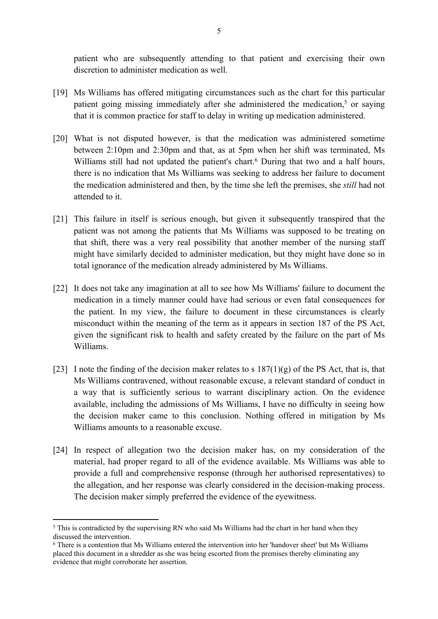patient who are subsequently attending to that patient and exercising their own discretion to administer medication as well.

- [19] Ms Williams has offered mitigating circumstances such as the chart for this particular patient going missing immediately after she administered the medication,<sup>5</sup> or saying that it is common practice for staff to delay in writing up medication administered.
- [20] What is not disputed however, is that the medication was administered sometime between 2:10pm and 2:30pm and that, as at 5pm when her shift was terminated, Ms Williams still had not updated the patient's chart.<sup>6</sup> During that two and a half hours, there is no indication that Ms Williams was seeking to address her failure to document the medication administered and then, by the time she left the premises, she *still* had not attended to it.
- [21] This failure in itself is serious enough, but given it subsequently transpired that the patient was not among the patients that Ms Williams was supposed to be treating on that shift, there was a very real possibility that another member of the nursing staff might have similarly decided to administer medication, but they might have done so in total ignorance of the medication already administered by Ms Williams.
- [22] It does not take any imagination at all to see how Ms Williams' failure to document the medication in a timely manner could have had serious or even fatal consequences for the patient. In my view, the failure to document in these circumstances is clearly misconduct within the meaning of the term as it appears in section 187 of the PS Act, given the significant risk to health and safety created by the failure on the part of Ms Williams.
- [23] I note the finding of the decision maker relates to s  $187(1)(g)$  of the PS Act, that is, that Ms Williams contravened, without reasonable excuse, a relevant standard of conduct in a way that is sufficiently serious to warrant disciplinary action. On the evidence available, including the admissions of Ms Williams, I have no difficulty in seeing how the decision maker came to this conclusion. Nothing offered in mitigation by Ms Williams amounts to a reasonable excuse.
- [24] In respect of allegation two the decision maker has, on my consideration of the material, had proper regard to all of the evidence available. Ms Williams was able to provide a full and comprehensive response (through her authorised representatives) to the allegation, and her response was clearly considered in the decision-making process. The decision maker simply preferred the evidence of the eyewitness.

<sup>&</sup>lt;sup>5</sup> This is contradicted by the supervising RN who said Ms Williams had the chart in her hand when they discussed the intervention.

<sup>6</sup> There is a contention that Ms Williams entered the intervention into her 'handover sheet' but Ms Williams placed this document in a shredder as she was being escorted from the premises thereby eliminating any evidence that might corroborate her assertion.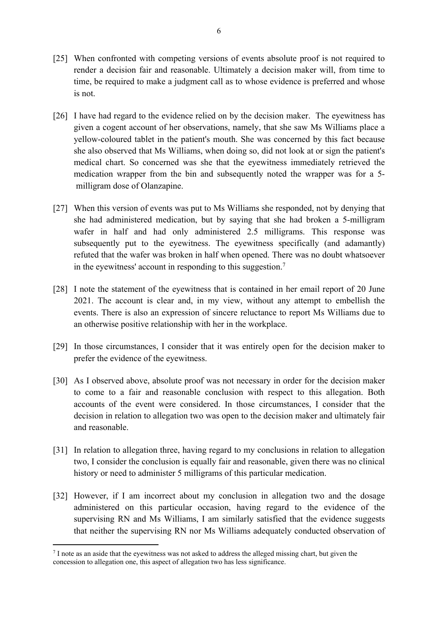- [25] When confronted with competing versions of events absolute proof is not required to render a decision fair and reasonable. Ultimately a decision maker will, from time to time, be required to make a judgment call as to whose evidence is preferred and whose is not.
- [26] I have had regard to the evidence relied on by the decision maker. The eyewitness has given a cogent account of her observations, namely, that she saw Ms Williams place a yellow-coloured tablet in the patient's mouth. She was concerned by this fact because she also observed that Ms Williams, when doing so, did not look at or sign the patient's medical chart. So concerned was she that the eyewitness immediately retrieved the medication wrapper from the bin and subsequently noted the wrapper was for a 5 milligram dose of Olanzapine.
- [27] When this version of events was put to Ms Williams she responded, not by denying that she had administered medication, but by saying that she had broken a 5-milligram wafer in half and had only administered 2.5 milligrams. This response was subsequently put to the eyewitness. The eyewitness specifically (and adamantly) refuted that the wafer was broken in half when opened. There was no doubt whatsoever in the eyewitness' account in responding to this suggestion.<sup>7</sup>
- [28] I note the statement of the eyewitness that is contained in her email report of 20 June 2021. The account is clear and, in my view, without any attempt to embellish the events. There is also an expression of sincere reluctance to report Ms Williams due to an otherwise positive relationship with her in the workplace.
- [29] In those circumstances, I consider that it was entirely open for the decision maker to prefer the evidence of the eyewitness.
- [30] As I observed above, absolute proof was not necessary in order for the decision maker to come to a fair and reasonable conclusion with respect to this allegation. Both accounts of the event were considered. In those circumstances, I consider that the decision in relation to allegation two was open to the decision maker and ultimately fair and reasonable.
- [31] In relation to allegation three, having regard to my conclusions in relation to allegation two, I consider the conclusion is equally fair and reasonable, given there was no clinical history or need to administer 5 milligrams of this particular medication.
- [32] However, if I am incorrect about my conclusion in allegation two and the dosage administered on this particular occasion, having regard to the evidence of the supervising RN and Ms Williams, I am similarly satisfied that the evidence suggests that neither the supervising RN nor Ms Williams adequately conducted observation of

<sup>7</sup> I note as an aside that the eyewitness was not asked to address the alleged missing chart, but given the concession to allegation one, this aspect of allegation two has less significance.